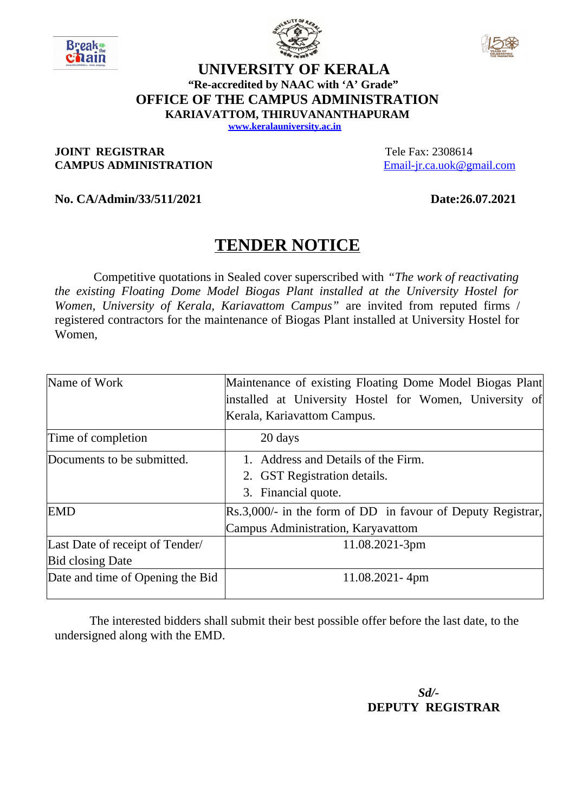





# **UNIVERSITY OF KERALA "Re-accredited by NAAC with 'A' Grade" OFFICE OF THE CAMPUS ADMINISTRATION KARIAVATTOM, THIRUVANANTHAPURAM**

**[www.keralauniversity.ac.in](http://www.keralauniversity.ac.in/)**

#### **JOINT REGISTRAR**  Tele Fax: 2308614 **CAMPUS ADMINISTRATION** [Email-jr.ca.uok@gmail.com](mailto:Email-jr.ca.uok@gmail.com)

### **No. CA/Admin/33/511/2021 Date:26.07.2021**

# **TENDER NOTICE**

 Competitive quotations in Sealed cover superscribed with *"The work of reactivating the existing Floating Dome Model Biogas Plant installed at the University Hostel for Women, University of Kerala, Kariavattom Campus"* are invited from reputed firms / registered contractors for the maintenance of Biogas Plant installed at University Hostel for Women,

| Name of Work                     | Maintenance of existing Floating Dome Model Biogas Plant    |  |
|----------------------------------|-------------------------------------------------------------|--|
|                                  | installed at University Hostel for Women, University of     |  |
|                                  | Kerala, Kariavattom Campus.                                 |  |
| Time of completion               | 20 days                                                     |  |
| Documents to be submitted.       | 1. Address and Details of the Firm.                         |  |
|                                  | 2. GST Registration details.                                |  |
|                                  | 3. Financial quote.                                         |  |
| <b>EMD</b>                       | Rs.3,000/- in the form of DD in favour of Deputy Registrar, |  |
|                                  | Campus Administration, Karyavattom                          |  |
| Last Date of receipt of Tender/  | 11.08.2021-3pm                                              |  |
| <b>Bid closing Date</b>          |                                                             |  |
| Date and time of Opening the Bid | 11.08.2021-4pm                                              |  |

The interested bidders shall submit their best possible offer before the last date, to the undersigned along with the EMD.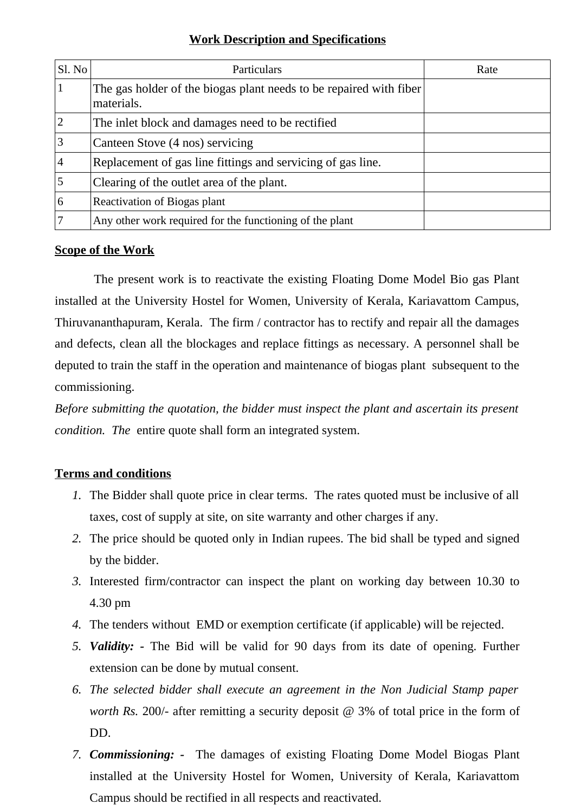| Sl. No         | Particulars                                                                      | Rate |
|----------------|----------------------------------------------------------------------------------|------|
|                | The gas holder of the biogas plant needs to be repaired with fiber<br>materials. |      |
|                | The inlet block and damages need to be rectified                                 |      |
| 3              | Canteen Stove (4 nos) servicing                                                  |      |
| $\overline{4}$ | Replacement of gas line fittings and servicing of gas line.                      |      |
| 5              | Clearing of the outlet area of the plant.                                        |      |
| 6              | Reactivation of Biogas plant                                                     |      |
|                | Any other work required for the functioning of the plant                         |      |

# **Work Description and Specifications**

## **Scope of the Work**

 The present work is to reactivate the existing Floating Dome Model Bio gas Plant installed at the University Hostel for Women, University of Kerala, Kariavattom Campus, Thiruvananthapuram, Kerala. The firm / contractor has to rectify and repair all the damages and defects, clean all the blockages and replace fittings as necessary. A personnel shall be deputed to train the staff in the operation and maintenance of biogas plant subsequent to the commissioning.

*Before submitting the quotation, the bidder must inspect the plant and ascertain its present condition. The* entire quote shall form an integrated system.

### **Terms and conditions**

- *1.* The Bidder shall quote price in clear terms. The rates quoted must be inclusive of all taxes, cost of supply at site, on site warranty and other charges if any.
- *2.* The price should be quoted only in Indian rupees. The bid shall be typed and signed by the bidder.
- *3.* Interested firm/contractor can inspect the plant on working day between 10.30 to 4.30 pm
- *4.* The tenders without EMD or exemption certificate (if applicable) will be rejected.
- *5. Validity: -* The Bid will be valid for 90 days from its date of opening. Further extension can be done by mutual consent.
- *6. The selected bidder shall execute an agreement in the Non Judicial Stamp paper worth Rs.* 200/- after remitting a security deposit @ 3% of total price in the form of DD.
- *7. Commissioning: -* The damages of existing Floating Dome Model Biogas Plant installed at the University Hostel for Women, University of Kerala, Kariavattom Campus should be rectified in all respects and reactivated.